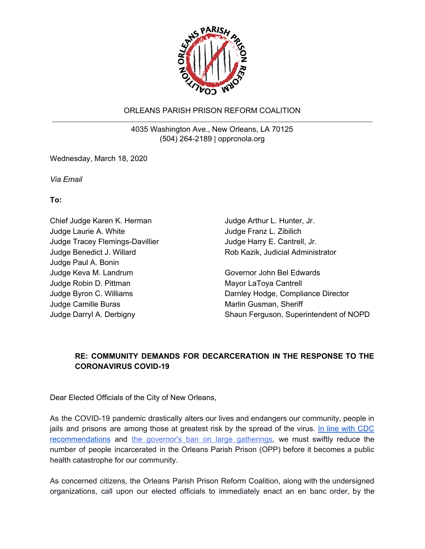

## ORLEANS PARISH PRISON REFORM COALITION

4035 Washington Ave., New Orleans, LA 70125 (504) 264-2189 | opprcnola.org

Wednesday, March 18, 2020

*Via Email*

**To:**

Chief Judge Karen K. Herman Judge Laurie A. White Judge Tracey Flemings-Davillier Judge Benedict J. Willard Judge Paul A. Bonin Judge Keva M. Landrum Judge Robin D. Pittman Judge Byron C. Williams Judge Camille Buras Judge Darryl A. Derbigny

Judge Arthur L. Hunter, Jr. Judge Franz L. Zibilich Judge Harry E. Cantrell, Jr. Rob Kazik, Judicial Administrator

Governor John Bel Edwards Mayor LaToya Cantrell Darnley Hodge, Compliance Director Marlin Gusman, Sheriff Shaun Ferguson, Superintendent of NOPD

## **RE: COMMUNITY DEMANDS FOR DECARCERATION IN THE RESPONSE TO THE CORONAVIRUS COVID-19**

Dear Elected Officials of the City of New Orleans,

As the COVID-19 pandemic drastically alters our lives and endangers our community, people in jails and prisons are among those at greatest risk by the spread of the virus. In line with [CDC](https://www.cdc.gov/coronavirus/2019-ncov/community/large-events/mass-gatherings-ready-for-covid-19.html#postponing) [recommendations](https://www.cdc.gov/coronavirus/2019-ncov/community/large-events/mass-gatherings-ready-for-covid-19.html#postponing) and the governor's ban on large [gatherings,](https://www.wwltv.com/article/news/health/coronavirus/louisiana-halts-public-gatherings-with-more-than-250-people/289-7289b623-cc57-4959-935d-dd8a821effa7) we must swiftly reduce the number of people incarcerated in the Orleans Parish Prison (OPP) before it becomes a public health catastrophe for our community.

As concerned citizens, the Orleans Parish Prison Reform Coalition, along with the undersigned organizations, call upon our elected officials to immediately enact an en banc order, by the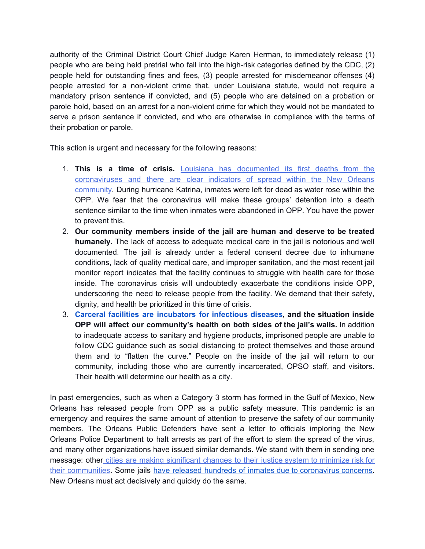authority of the Criminal District Court Chief Judge Karen Herman, to immediately release (1) people who are being held pretrial who fall into the high-risk categories defined by the CDC, (2) people held for outstanding fines and fees, (3) people arrested for misdemeanor offenses (4) people arrested for a non-violent crime that, under Louisiana statute, would not require a mandatory prison sentence if convicted, and (5) people who are detained on a probation or parole hold, based on an arrest for a non-violent crime for which they would not be mandated to serve a prison sentence if convicted, and who are otherwise in compliance with the terms of their probation or parole.

This action is urgent and necessary for the following reasons:

- 1. **This is a time of crisis.** Louisiana has [documented](https://www.wbrz.com/news/louisiana-reporting-77-coronavirus-cases-one-dies-from-virus/) its first deaths from the [coronaviruses](https://www.wbrz.com/news/louisiana-reporting-77-coronavirus-cases-one-dies-from-virus/) and there are clear indicators of spread within the New Orleans [community](https://www.wbrz.com/news/louisiana-reporting-77-coronavirus-cases-one-dies-from-virus/). During hurricane Katrina, inmates were left for dead as water rose within the OPP. We fear that the coronavirus will make these groups' detention into a death sentence similar to the time when inmates were abandoned in OPP. You have the power to prevent this.
- 2. **Our community members inside of the jail are human and deserve to be treated humanely.** The lack of access to adequate medical care in the jail is notorious and well documented. The jail is already under a federal consent decree due to inhumane conditions, lack of quality medical care, and improper sanitation, and the most recent jail monitor report indicates that the facility continues to struggle with health care for those inside. The coronavirus crisis will undoubtedly exacerbate the conditions inside OPP, underscoring the need to release people from the facility. We demand that their safety, dignity, and health be prioritized in this time of crisis.
- 3. **Carceral facilities are [incubators](https://academic.oup.com/cid/article/45/8/1047/344842) for infectious diseases, and the situation inside OPP will affect our community's health on both sides of the jail's walls.** In addition to inadequate access to sanitary and hygiene products, imprisoned people are unable to follow CDC guidance such as social distancing to protect themselves and those around them and to "flatten the curve." People on the inside of the jail will return to our community, including those who are currently incarcerated, OPSO staff, and visitors. Their health will determine our health as a city.

In past emergencies, such as when a Category 3 storm has formed in the Gulf of Mexico, New Orleans has released people from OPP as a public safety measure. This pandemic is an emergency and requires the same amount of attention to preserve the safety of our community members. The Orleans Public Defenders have sent a letter to officials imploring the New Orleans Police Department to halt arrests as part of the effort to stem the spread of the virus, and many other organizations have issued similar demands. We stand with them in sending one message: other cities are making [significant](https://www.nytimes.com/2020/03/13/opinion/coronavirus-courts-jails.html) changes to their justice system to minimize risk for their [communities.](https://www.nytimes.com/2020/03/13/opinion/coronavirus-courts-jails.html) Some jails have released hundreds of inmates due to [coronavirus](https://kfor.com/health/coronavirus/ohio-jail-releases-hundreds-of-inmates-due-to-coronavirus-concerns/) concerns. New Orleans must act decisively and quickly do the same.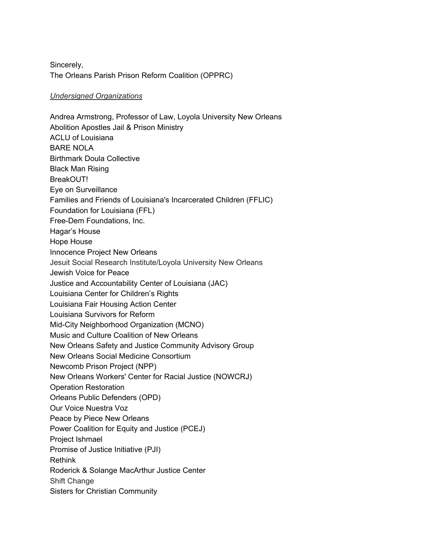Sincerely, The Orleans Parish Prison Reform Coalition (OPPRC)

## *Undersigned Organizations*

Andrea Armstrong, Professor of Law, Loyola University New Orleans Abolition Apostles Jail & Prison Ministry ACLU of Louisiana BARE NOLA Birthmark Doula Collective Black Man Rising BreakOUT! Eye on Surveillance Families and Friends of Louisiana's Incarcerated Children (FFLIC) Foundation for Louisiana (FFL) Free-Dem Foundations, Inc. Hagar's House Hope House Innocence Project New Orleans Jesuit Social Research Institute/Loyola University New Orleans Jewish Voice for Peace Justice and Accountability Center of Louisiana (JAC) Louisiana Center for Children's Rights Louisiana Fair Housing Action Center Louisiana Survivors for Reform Mid-City Neighborhood Organization (MCNO) Music and Culture Coalition of New Orleans New Orleans Safety and Justice Community Advisory Group New Orleans Social Medicine Consortium Newcomb Prison Project (NPP) New Orleans Workers' Center for Racial Justice (NOWCRJ) Operation Restoration Orleans Public Defenders (OPD) Our Voice Nuestra Voz Peace by Piece New Orleans Power Coalition for Equity and Justice (PCEJ) Project Ishmael Promise of Justice Initiative (PJI) Rethink Roderick & Solange MacArthur Justice Center Shift Change Sisters for Christian Community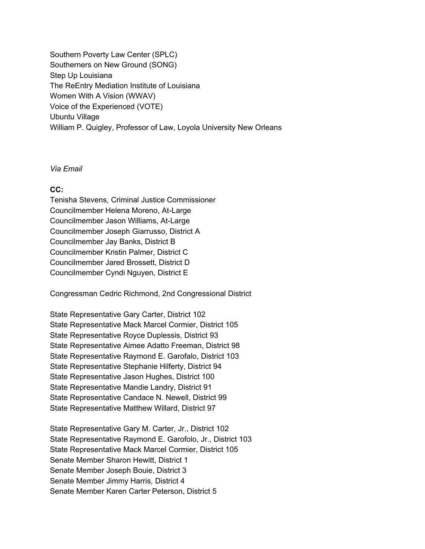Southern Poverty Law Center (SPLC) Southerners on New Ground (SONG) Step Up Louisiana The ReEntry Mediation Institute of Louisiana Women With A Vision (WWAV) Voice of the Experienced (VOTE) Ubuntu Village William P. Quigley, Professor of Law, Loyola University New Orleans

*Via Email*

## **CC:**

Tenisha Stevens, Criminal Justice Commissioner Councilmember Helena Moreno, At-Large Councilmember Jason Williams, At-Large Councilmember Joseph Giarrusso, District A Councilmember Jay Banks, District B Councilmember Kristin Palmer, District C Councilmember Jared Brossett, District D Councilmember Cyndi Nguyen, District E

Congressman Cedric Richmond, 2nd Congressional District

State Representative Gary Carter, District 102 State Representative Mack Marcel Cormier, District 105 State Representative Royce Duplessis, District 93 State Representative Aimee Adatto Freeman, District 98 State Representative Raymond E. Garofalo, District 103 State Representative Stephanie Hilferty, District 94 State Representative Jason Hughes, District 100 State Representative Mandie Landry, District 91 State Representative Candace N. Newell, District 99 State Representative Matthew Willard, District 97

State Representative Gary M. Carter, Jr., District 102 State Representative Raymond E. Garofolo, Jr., District 103 State Representative Mack Marcel Cormier, District 105 Senate Member Sharon Hewitt, District 1 Senate Member Joseph Bouie, District 3 Senate Member Jimmy Harris, District 4 Senate Member Karen Carter Peterson, District 5